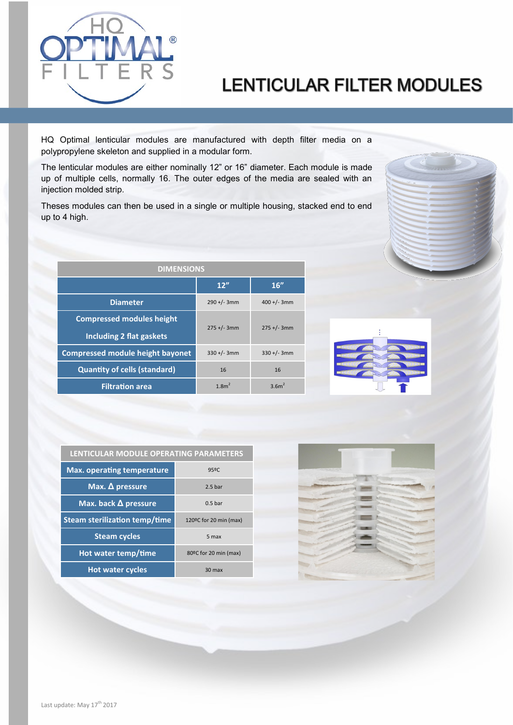

## **LENTICULAR FILTER MODULES**

HQ Optimal lenticular modules are manufactured with depth filter media on a polypropylene skeleton and supplied in a modular form.

The lenticular modules are either nominally 12" or 16" diameter. Each module is made up of multiple cells, normally 16. The outer edges of the media are sealed with an injection molded strip.

Theses modules can then be used in a single or multiple housing, stacked end to end up to 4 high.

| <b>DIMENSIONS</b>                       |                   |                   |  |  |  |
|-----------------------------------------|-------------------|-------------------|--|--|--|
|                                         | 12"               | 16"               |  |  |  |
| <b>Diameter</b>                         | $290 + (-3)$ mm   | $400 +/- 3mm$     |  |  |  |
| <b>Compressed modules height</b>        | $275 +/- 3mm$     | $275 +/- 3mm$     |  |  |  |
| <b>Including 2 flat gaskets</b>         |                   |                   |  |  |  |
| <b>Compressed module height bayonet</b> | $330 +/- 3mm$     | $330 +/- 3mm$     |  |  |  |
| <b>Quantity of cells (standard)</b>     | 16                | 16                |  |  |  |
| <b>Filtration area</b>                  | 1.8m <sup>2</sup> | 3.6m <sup>2</sup> |  |  |  |

| LENTICULAR MODULE OPERATING PARAMETERS |                        |  |  |  |  |
|----------------------------------------|------------------------|--|--|--|--|
| <b>Max. operating temperature</b>      | 95ºC                   |  |  |  |  |
| Max. $\Delta$ pressure                 | 2.5 <sub>bar</sub>     |  |  |  |  |
| Max. back $\Delta$ pressure            | 0.5 <sub>bar</sub>     |  |  |  |  |
| <b>Steam sterilization temp/time</b>   | 120ºC for 20 min (max) |  |  |  |  |
| <b>Steam cycles</b>                    | 5 max                  |  |  |  |  |
| Hot water temp/time                    | 80°C for 20 min (max)  |  |  |  |  |
| <b>Hot water cycles</b>                | 30 max                 |  |  |  |  |